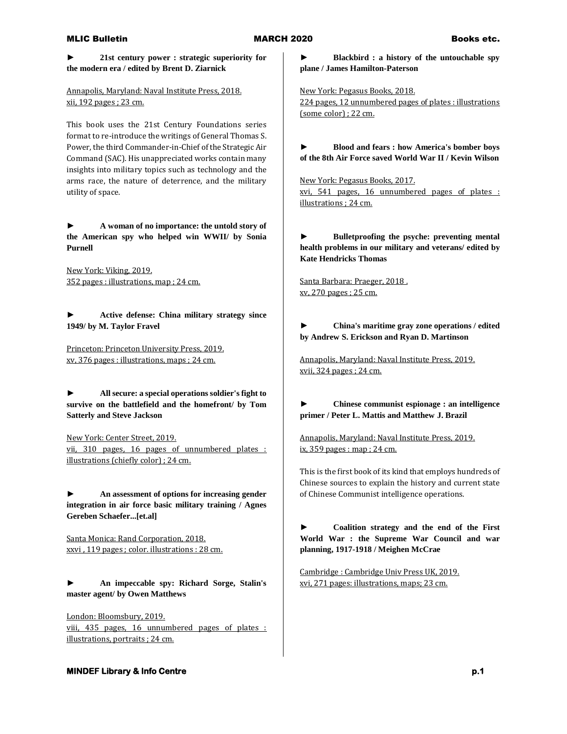**► 21st century power : strategic superiority for the modern era / edited by Brent D. Ziarnick**

Annapolis, Maryland: Naval Institute Press, 2018. xii, 192 pages ; 23 cm.

This book uses the 21st Century Foundations series format to re-introduce the writings of General Thomas S. Power, the third Commander-in-Chief of the Strategic Air Command (SAC). His unappreciated works contain many insights into military topics such as technology and the arms race, the nature of deterrence, and the military utility of space.

**► A woman of no importance: the untold story of the American spy who helped win WWII/ by Sonia Purnell**

New York: Viking, 2019. 352 pages : illustrations, map ; 24 cm.

**► Active defense: China military strategy since 1949/ by M. Taylor Fravel**

Princeton: Princeton University Press, 2019. xv, 376 pages : illustrations, maps ; 24 cm.

**► All secure: a special operations soldier's fight to survive on the battlefield and the homefront/ by Tom Satterly and Steve Jackson**

New York: Center Street, 2019. vii, 310 pages, 16 pages of unnumbered plates : illustrations (chiefly color) ; 24 cm.

**► An assessment of options for increasing gender integration in air force basic military training / Agnes Gereben Schaefer...[et.al]**

Santa Monica: Rand Corporation, 2018. xxvi , 119 pages ; color. illustrations : 28 cm.

**► An impeccable spy: Richard Sorge, Stalin's master agent/ by Owen Matthews**

London: Bloomsbury, 2019. viii, 435 pages, 16 unnumbered pages of plates : illustrations, portraits ; 24 cm.

**► Blackbird : a history of the untouchable spy plane / James Hamilton-Paterson**

New York: Pegasus Books, 2018. 224 pages, 12 unnumbered pages of plates : illustrations (some color) ; 22 cm.

**► Blood and fears : how America's bomber boys of the 8th Air Force saved World War II / Kevin Wilson**

New York: Pegasus Books, 2017. xvi, 541 pages, 16 unnumbered pages of plates : illustrations ; 24 cm.

**► Bulletproofing the psyche: preventing mental health problems in our military and veterans/ edited by Kate Hendricks Thomas**

Santa Barbara: Praeger, 2018 . xv, 270 pages ; 25 cm.

**► China's maritime gray zone operations / edited by Andrew S. Erickson and Ryan D. Martinson**

Annapolis, Maryland: Naval Institute Press, 2019. xvii, 324 pages ; 24 cm.

**► Chinese communist espionage : an intelligence primer / Peter L. Mattis and Matthew J. Brazil**

Annapolis, Maryland: Naval Institute Press, 2019. ix, 359 pages : map ; 24 cm.

This is the first book of its kind that employs hundreds of Chinese sources to explain the history and current state of Chinese Communist intelligence operations.

**► Coalition strategy and the end of the First World War : the Supreme War Council and war planning, 1917-1918 / Meighen McCrae**

Cambridge : Cambridge Univ Press UK, 2019. xvi, 271 pages: illustrations, maps; 23 cm.

# **MINDEF Library & Info Centre p.1** *p.1* **<b>p.1** *p.1*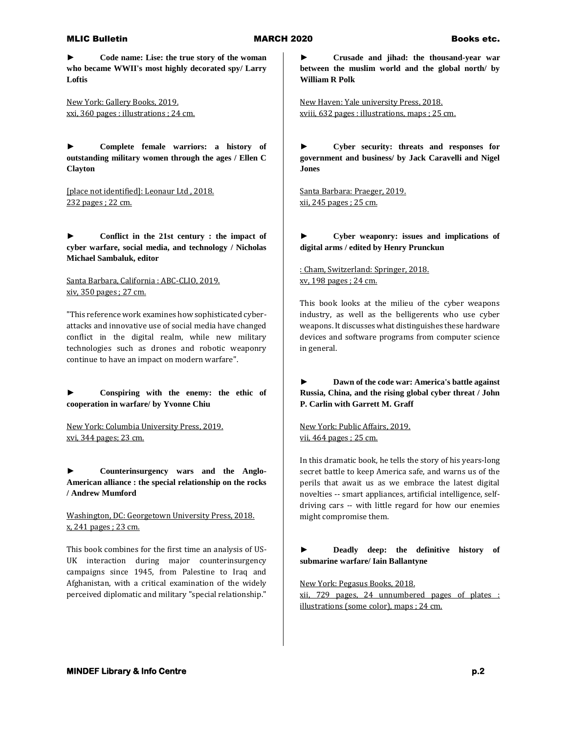**► Code name: Lise: the true story of the woman who became WWII's most highly decorated spy/ Larry Loftis**

New York: Gallery Books, 2019. xxi, 360 pages : illustrations ; 24 cm.

**► Complete female warriors: a history of outstanding military women through the ages / Ellen C Clayton**

[place not identified]: Leonaur Ltd , 2018. 232 pages ; 22 cm.

**► Conflict in the 21st century : the impact of cyber warfare, social media, and technology / Nicholas Michael Sambaluk, editor**

Santa Barbara, California : ABC-CLIO, 2019. xiv, 350 pages ; 27 cm.

"This reference work examines how sophisticated cyberattacks and innovative use of social media have changed conflict in the digital realm, while new military technologies such as drones and robotic weaponry continue to have an impact on modern warfare".

**► Conspiring with the enemy: the ethic of cooperation in warfare/ by Yvonne Chiu**

New York: Columbia University Press, 2019. xvi, 344 pages; 23 cm.

**► Counterinsurgency wars and the Anglo-American alliance : the special relationship on the rocks / Andrew Mumford**

Washington, DC: Georgetown University Press, 2018. x, 241 pages ; 23 cm.

This book combines for the first time an analysis of US-UK interaction during major counterinsurgency campaigns since 1945, from Palestine to Iraq and Afghanistan, with a critical examination of the widely perceived diplomatic and military "special relationship."

**► Crusade and jihad: the thousand-year war between the muslim world and the global north/ by William R Polk**

New Haven: Yale university Press, 2018. xviii, 632 pages : illustrations, maps ; 25 cm.

**► Cyber security: threats and responses for government and business/ by Jack Caravelli and Nigel Jones**

Santa Barbara: Praeger, 2019. xii, 245 pages ; 25 cm.

## **► Cyber weaponry: issues and implications of digital arms / edited by Henry Prunckun**

: Cham, Switzerland: Springer, 2018. xv, 198 pages ; 24 cm.

This book looks at the milieu of the cyber weapons industry, as well as the belligerents who use cyber weapons. It discusses what distinguishes these hardware devices and software programs from computer science in general.

**► Dawn of the code war: America's battle against Russia, China, and the rising global cyber threat / John P. Carlin with Garrett M. Graff**

New York: Public Affairs, 2019. vii, 464 pages ; 25 cm.

In this dramatic book, he tells the story of his years-long secret battle to keep America safe, and warns us of the perils that await us as we embrace the latest digital novelties -- smart appliances, artificial intelligence, selfdriving cars -- with little regard for how our enemies might compromise them.

**► Deadly deep: the definitive history of submarine warfare/ Iain Ballantyne**

New York: Pegasus Books, 2018.

xii, 729 pages, 24 unnumbered pages of plates : illustrations (some color), maps ; 24 cm.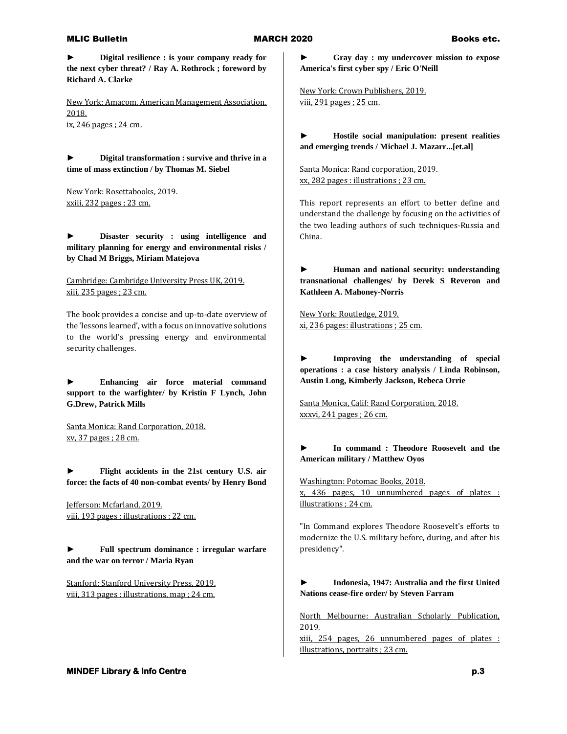**► Digital resilience : is your company ready for the next cyber threat? / Ray A. Rothrock ; foreword by Richard A. Clarke**

New York: Amacom, American Management Association, 2018. ix, 246 pages ; 24 cm.

**► Digital transformation : survive and thrive in a time of mass extinction / by Thomas M. Siebel**

New York: Rosettabooks, 2019. xxiii, 232 pages ; 23 cm.

**► Disaster security : using intelligence and military planning for energy and environmental risks / by Chad M Briggs, Miriam Matejova**

Cambridge: Cambridge University Press UK, 2019. xiii, 235 pages ; 23 cm.

The book provides a concise and up-to-date overview of the 'lessons learned', with a focus on innovative solutions to the world's pressing energy and environmental security challenges.

**► Enhancing air force material command support to the warfighter/ by Kristin F Lynch, John G.Drew, Patrick Mills**

Santa Monica: Rand Corporation, 2018. xv, 37 pages ; 28 cm.

**► Flight accidents in the 21st century U.S. air force: the facts of 40 non-combat events/ by Henry Bond**

Jefferson: Mcfarland, 2019. viii, 193 pages : illustrations ; 22 cm.

**► Full spectrum dominance : irregular warfare and the war on terror / Maria Ryan**

Stanford: Stanford University Press, 2019. viii, 313 pages : illustrations, map ; 24 cm. **► Gray day : my undercover mission to expose America's first cyber spy / Eric O'Neill**

New York: Crown Publishers, 2019. viii, 291 pages ; 25 cm.

**► Hostile social manipulation: present realities and emerging trends / Michael J. Mazarr...[et.al]**

Santa Monica: Rand corporation, 2019. xx, 282 pages : illustrations ; 23 cm.

This report represents an effort to better define and understand the challenge by focusing on the activities of the two leading authors of such techniques-Russia and China.

**► Human and national security: understanding transnational challenges/ by Derek S Reveron and Kathleen A. Mahoney-Norris**

New York: Routledge, 2019. xi, 236 pages: illustrations ; 25 cm.

**► Improving the understanding of special operations : a case history analysis / Linda Robinson, Austin Long, Kimberly Jackson, Rebeca Orrie**

Santa Monica, Calif: Rand Corporation, 2018. xxxvi, 241 pages ; 26 cm.

### **► In command : Theodore Roosevelt and the American military / Matthew Oyos**

Washington: Potomac Books, 2018. x, 436 pages, 10 unnumbered pages of plates : illustrations ; 24 cm.

"In Command explores Theodore Roosevelt's efforts to modernize the U.S. military before, during, and after his presidency".

**► Indonesia, 1947: Australia and the first United Nations cease-fire order/ by Steven Farram**

North Melbourne: Australian Scholarly Publication, 2019.

xiii, 254 pages, 26 unnumbered pages of plates : illustrations, portraits ; 23 cm.

**MINDEF Library & Info Centre p.3 p.3**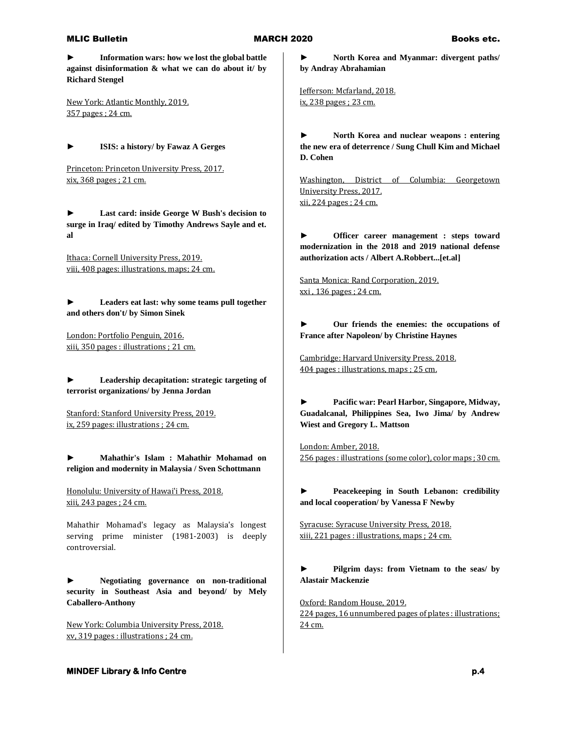**► Information wars: how we lost the global battle against disinformation & what we can do about it/ by Richard Stengel**

New York: Atlantic Monthly, 2019. 357 pages ; 24 cm.

**► ISIS: a history/ by Fawaz A Gerges**

Princeton: Princeton University Press, 2017. xix, 368 pages ; 21 cm.

**► Last card: inside George W Bush's decision to surge in Iraq/ edited by Timothy Andrews Sayle and et. al**

Ithaca: Cornell University Press, 2019. viii, 408 pages: illustrations, maps; 24 cm.

**► Leaders eat last: why some teams pull together and others don't/ by Simon Sinek**

London: Portfolio Penguin, 2016. xiii, 350 pages : illustrations ; 21 cm.

**► Leadership decapitation: strategic targeting of terrorist organizations/ by Jenna Jordan**

Stanford: Stanford University Press, 2019. ix, 259 pages: illustrations ; 24 cm.

**► Mahathir's Islam : Mahathir Mohamad on religion and modernity in Malaysia / Sven Schottmann**

Honolulu: University of Hawai'i Press, 2018. xiii, 243 pages ; 24 cm.

Mahathir Mohamad's legacy as Malaysia's longest serving prime minister (1981-2003) is deeply controversial.

**► Negotiating governance on non-traditional security in Southeast Asia and beyond/ by Mely Caballero-Anthony**

New York: Columbia University Press, 2018. xv, 319 pages : illustrations ; 24 cm.

**► North Korea and Myanmar: divergent paths/ by Andray Abrahamian** 

Jefferson: Mcfarland, 2018. ix, 238 pages ; 23 cm.

**► North Korea and nuclear weapons : entering the new era of deterrence / Sung Chull Kim and Michael D. Cohen**

Washington, District of Columbia: Georgetown University Press, 2017. xii, 224 pages ; 24 cm.

**Officer career management : steps toward modernization in the 2018 and 2019 national defense authorization acts / Albert A.Robbert...[et.al]**

Santa Monica: Rand Corporation, 2019. xxi , 136 pages ; 24 cm.

**► Our friends the enemies: the occupations of France after Napoleon/ by Christine Haynes**

Cambridge: Harvard University Press, 2018. 404 pages : illustrations, maps ; 25 cm.

**► Pacific war: Pearl Harbor, Singapore, Midway, Guadalcanal, Philippines Sea, Iwo Jima/ by Andrew Wiest and Gregory L. Mattson**

London: Amber, 2018. 256 pages : illustrations (some color), color maps ; 30 cm.

**► Peacekeeping in South Lebanon: credibility and local cooperation/ by Vanessa F Newby**

Syracuse: Syracuse University Press, 2018. xiii, 221 pages : illustrations, maps ; 24 cm.

**► Pilgrim days: from Vietnam to the seas/ by Alastair Mackenzie**

Oxford: Random House, 2019. 224 pages, 16 unnumbered pages of plates : illustrations; 24 cm.

## **MINDEF Library & Info Centre p.4 p.4**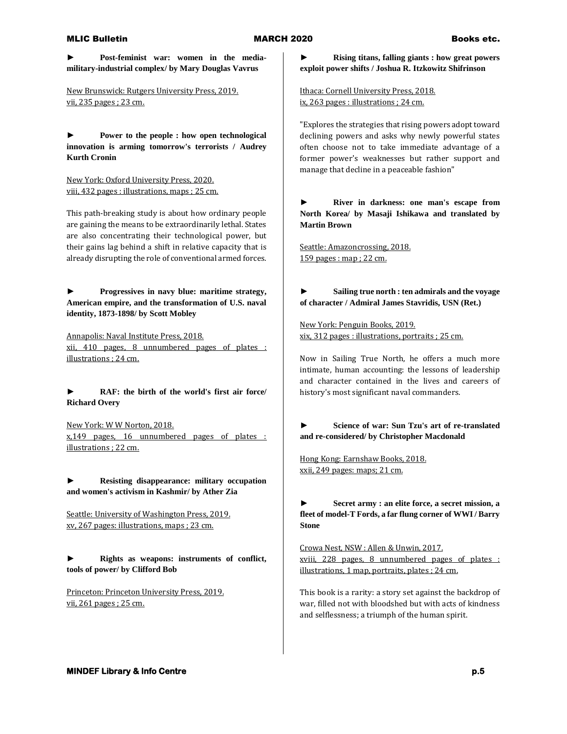**► Post-feminist war: women in the mediamilitary-industrial complex/ by Mary Douglas Vavrus**

New Brunswick: Rutgers University Press, 2019. vii, 235 pages ; 23 cm.

**► Power to the people : how open technological innovation is arming tomorrow's terrorists / Audrey Kurth Cronin**

New York: Oxford University Press, 2020. viii, 432 pages : illustrations, maps ; 25 cm.

This path-breaking study is about how ordinary people are gaining the means to be extraordinarily lethal. States are also concentrating their technological power, but their gains lag behind a shift in relative capacity that is already disrupting the role of conventional armed forces.

**► Progressives in navy blue: maritime strategy, American empire, and the transformation of U.S. naval identity, 1873-1898/ by Scott Mobley**

Annapolis: Naval Institute Press, 2018. xii, 410 pages, 8 unnumbered pages of plates : illustrations ; 24 cm.

# **► RAF: the birth of the world's first air force/ Richard Overy**

New York: W W Norton, 2018. x,149 pages, 16 unnumbered pages of plates : illustrations ; 22 cm.

**► Resisting disappearance: military occupation and women's activism in Kashmir/ by Ather Zia**

Seattle: University of Washington Press, 2019. xv, 267 pages: illustrations, maps ; 23 cm.

**► Rights as weapons: instruments of conflict, tools of power/ by Clifford Bob**

Princeton: Princeton University Press, 2019. vii, 261 pages ; 25 cm.

**► Rising titans, falling giants : how great powers exploit power shifts / Joshua R. Itzkowitz Shifrinson**

Ithaca: Cornell University Press, 2018. ix, 263 pages : illustrations ; 24 cm.

"Explores the strategies that rising powers adopt toward declining powers and asks why newly powerful states often choose not to take immediate advantage of a former power's weaknesses but rather support and manage that decline in a peaceable fashion"

**► River in darkness: one man's escape from North Korea/ by Masaji Ishikawa and translated by Martin Brown**

Seattle: Amazoncrossing, 2018. 159 pages : map ; 22 cm.

**► Sailing true north : ten admirals and the voyage of character / Admiral James Stavridis, USN (Ret.)**

New York: Penguin Books, 2019. xix, 312 pages : illustrations, portraits ; 25 cm.

Now in Sailing True North, he offers a much more intimate, human accounting: the lessons of leadership and character contained in the lives and careers of history's most significant naval commanders.

# **► Science of war: Sun Tzu's art of re-translated and re-considered/ by Christopher Macdonald**

Hong Kong: Earnshaw Books, 2018. xxii, 249 pages: maps; 21 cm.

**► Secret army : an elite force, a secret mission, a fleet of model-T Fords, a far flung corner of WWI / Barry Stone**

Crowa Nest, NSW : Allen & Unwin, 2017. xviii, 228 pages, 8 unnumbered pages of plates : illustrations, 1 map, portraits, plates ; 24 cm.

This book is a rarity: a story set against the backdrop of war, filled not with bloodshed but with acts of kindness and selflessness; a triumph of the human spirit.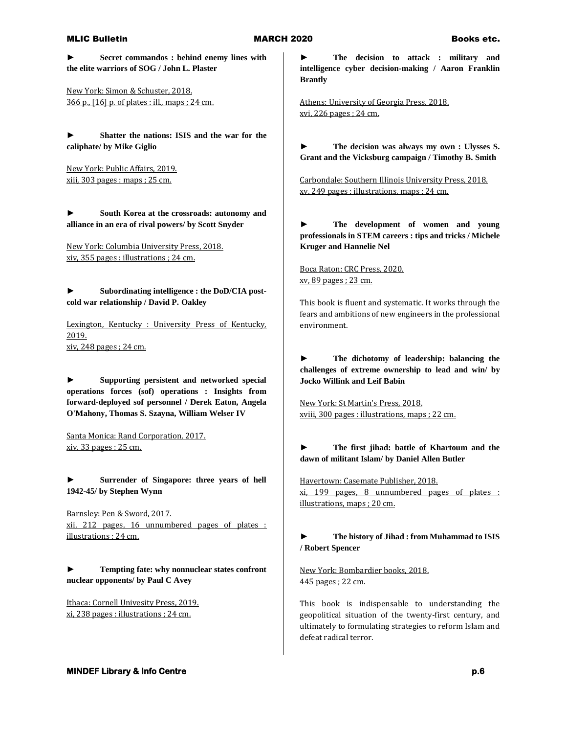**► Secret commandos : behind enemy lines with the elite warriors of SOG / John L. Plaster**

New York: Simon & Schuster, 2018. 366 p., [16] p. of plates : ill., maps ; 24 cm.

**► Shatter the nations: ISIS and the war for the caliphate/ by Mike Giglio**

New York: Public Affairs, 2019. xiii, 303 pages : maps ; 25 cm.

**► South Korea at the crossroads: autonomy and alliance in an era of rival powers/ by Scott Snyder**

New York: Columbia University Press, 2018. xiv, 355 pages : illustrations ; 24 cm.

**► Subordinating intelligence : the DoD/CIA postcold war relationship / David P. Oakley**

Lexington, Kentucky : University Press of Kentucky, 2019. xiv, 248 pages ; 24 cm.

**► Supporting persistent and networked special operations forces (sof) operations : Insights from forward-deployed sof personnel / Derek Eaton, Angela O'Mahony, Thomas S. Szayna, William Welser IV**

Santa Monica: Rand Corporation, 2017. xiv, 33 pages ; 25 cm.

Surrender of Singapore: three years of hell **1942-45/ by Stephen Wynn**

Barnsley: Pen & Sword, 2017. xii, 212 pages, 16 unnumbered pages of plates : illustrations ; 24 cm.

**► Tempting fate: why nonnuclear states confront nuclear opponents/ by Paul C Avey**

Ithaca: Cornell Univesity Press, 2019. xi, 238 pages : illustrations ; 24 cm.

**► The decision to attack : military and intelligence cyber decision-making / Aaron Franklin Brantly**

Athens: University of Georgia Press, 2018. xvi, 226 pages ; 24 cm.

**► The decision was always my own : Ulysses S. Grant and the Vicksburg campaign / Timothy B. Smith**

Carbondale: Southern Illinois University Press, 2018. xv, 249 pages : illustrations, maps ; 24 cm.

**► The development of women and young professionals in STEM careers : tips and tricks / Michele Kruger and Hannelie Nel**

Boca Raton: CRC Press, 2020. xv, 89 pages ; 23 cm.

This book is fluent and systematic. It works through the fears and ambitions of new engineers in the professional environment.

**► The dichotomy of leadership: balancing the challenges of extreme ownership to lead and win/ by Jocko Willink and Leif Babin**

New York: St Martin's Press, 2018. xviii, 300 pages : illustrations, maps ; 22 cm.

## **► The first jihad: battle of Khartoum and the dawn of militant Islam/ by Daniel Allen Butler**

Havertown: Casemate Publisher, 2018. xi, 199 pages, 8 unnumbered pages of plates : illustrations, maps ; 20 cm.

# **► The history of Jihad : from Muhammad to ISIS / Robert Spencer**

New York: Bombardier books, 2018. 445 pages ; 22 cm.

This book is indispensable to understanding the geopolitical situation of the twenty-first century, and ultimately to formulating strategies to reform Islam and defeat radical terror.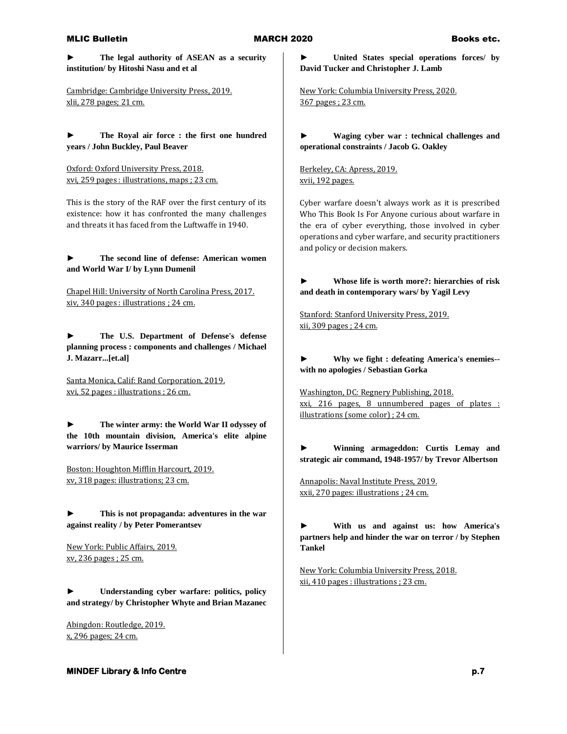**► The legal authority of ASEAN as a security institution/ by Hitoshi Nasu and et al**

Cambridge: Cambridge University Press, 2019. xlii, 278 pages; 21 cm.

**► The Royal air force : the first one hundred years / John Buckley, Paul Beaver**

Oxford: Oxford University Press, 2018. xvi, 259 pages : illustrations, maps ; 23 cm.

This is the story of the RAF over the first century of its existence: how it has confronted the many challenges and threats it has faced from the Luftwaffe in 1940.

**► The second line of defense: American women and World War I/ by Lynn Dumenil**

Chapel Hill: University of North Carolina Press, 2017. xiv, 340 pages : illustrations ; 24 cm.

**► The U.S. Department of Defense's defense planning process : components and challenges / Michael J. Mazarr...[et.al]**

Santa Monica, Calif: Rand Corporation, 2019. xvi, 52 pages : illustrations ; 26 cm.

**► The winter army: the World War II odyssey of the 10th mountain division, America's elite alpine warriors/ by Maurice Isserman**

Boston: Houghton Mifflin Harcourt, 2019. xv, 318 pages: illustrations; 23 cm.

**► This is not propaganda: adventures in the war against reality / by Peter Pomerantsev**

New York: Public Affairs, 2019. xv, 236 pages ; 25 cm.

**► Understanding cyber warfare: politics, policy and strategy/ by Christopher Whyte and Brian Mazanec**

Abingdon: Routledge, 2019. x, 296 pages; 24 cm.

# **► United States special operations forces/ by David Tucker and Christopher J. Lamb**

New York: Columbia University Press, 2020. 367 pages ; 23 cm.

**► Waging cyber war : technical challenges and operational constraints / Jacob G. Oakley**

Berkeley, CA: Apress, 2019. xvii, 192 pages.

Cyber warfare doesn't always work as it is prescribed Who This Book Is For Anyone curious about warfare in the era of cyber everything, those involved in cyber operations and cyber warfare, and security practitioners and policy or decision makers.

**► Whose life is worth more?: hierarchies of risk and death in contemporary wars/ by Yagil Levy**

Stanford: Stanford University Press, 2019. xii, 309 pages ; 24 cm.

**► Why we fight : defeating America's enemies- with no apologies / Sebastian Gorka**

Washington, DC: Regnery Publishing, 2018. xxi, 216 pages, 8 unnumbered pages of plates : illustrations (some color) ; 24 cm.

**► Winning armageddon: Curtis Lemay and strategic air command, 1948-1957/ by Trevor Albertson**

Annapolis: Naval Institute Press, 2019. xxii, 270 pages: illustrations ; 24 cm.

**► With us and against us: how America's partners help and hinder the war on terror / by Stephen Tankel**

New York: Columbia University Press, 2018. xii, 410 pages : illustrations ; 23 cm.

**MINDEF Library & Info Centre p.7 p.7**